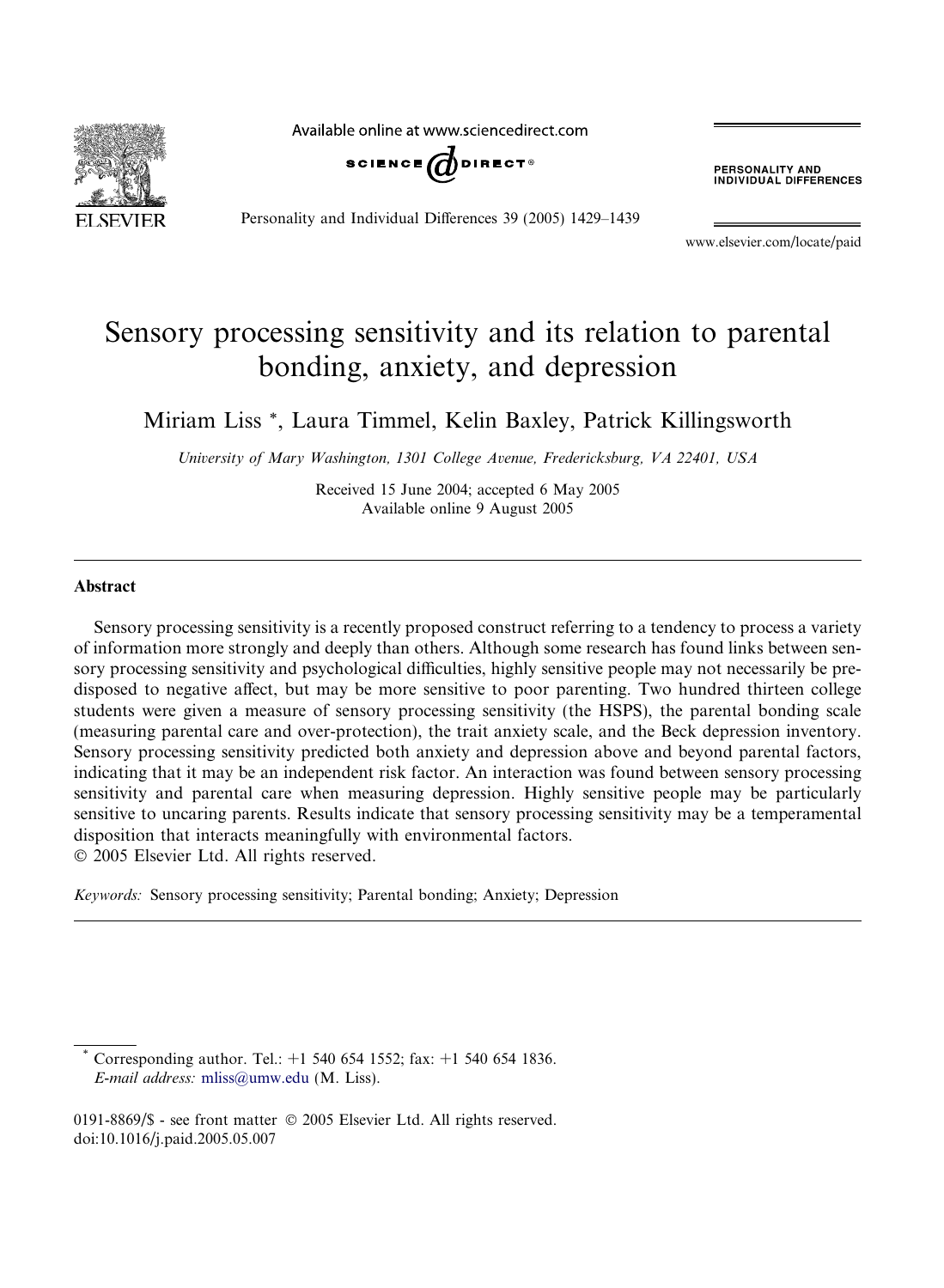**SEVIER** 

Available online at www.sciencedirect.com



Personality and Individual Differences 39 (2005) 1429–1439

**PERSONALITY AND<br>INDIVIDUAL DIFFERENCES** 

www.elsevier.com/locate/paid

# Sensory processing sensitivity and its relation to parental bonding, anxiety, and depression

Miriam Liss \*, Laura Timmel, Kelin Baxley, Patrick Killingsworth

University of Mary Washington, 1301 College Avenue, Fredericksburg, VA 22401, USA

Received 15 June 2004; accepted 6 May 2005 Available online 9 August 2005

#### Abstract

Sensory processing sensitivity is a recently proposed construct referring to a tendency to process a variety of information more strongly and deeply than others. Although some research has found links between sensory processing sensitivity and psychological difficulties, highly sensitive people may not necessarily be predisposed to negative affect, but may be more sensitive to poor parenting. Two hundred thirteen college students were given a measure of sensory processing sensitivity (the HSPS), the parental bonding scale (measuring parental care and over-protection), the trait anxiety scale, and the Beck depression inventory. Sensory processing sensitivity predicted both anxiety and depression above and beyond parental factors, indicating that it may be an independent risk factor. An interaction was found between sensory processing sensitivity and parental care when measuring depression. Highly sensitive people may be particularly sensitive to uncaring parents. Results indicate that sensory processing sensitivity may be a temperamental disposition that interacts meaningfully with environmental factors. 2005 Elsevier Ltd. All rights reserved.

Keywords: Sensory processing sensitivity; Parental bonding; Anxiety; Depression

Corresponding author. Tel.:  $+1$  540 654 1552; fax:  $+1$  540 654 1836. E-mail address: [mliss@umw.edu](mailto:mliss@umw.edu) (M. Liss).

0191-8869/\$ - see front matter © 2005 Elsevier Ltd. All rights reserved. doi:10.1016/j.paid.2005.05.007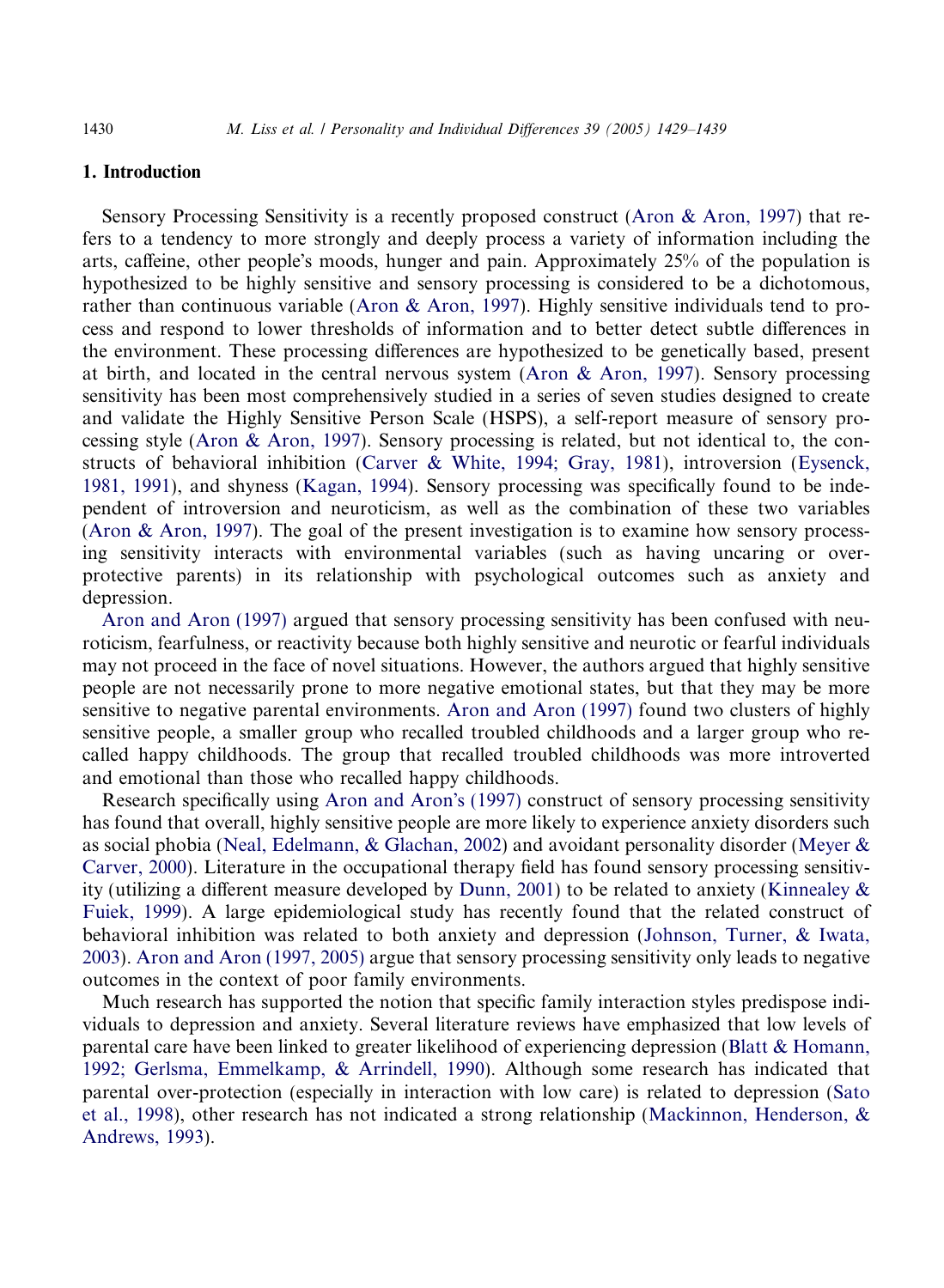#### 1. Introduction

Sensory Processing Sensitivity is a recently proposed construct [\(Aron & Aron, 1997\)](#page-9-0) that refers to a tendency to more strongly and deeply process a variety of information including the arts, caffeine, other people's moods, hunger and pain. Approximately 25% of the population is hypothesized to be highly sensitive and sensory processing is considered to be a dichotomous, rather than continuous variable [\(Aron & Aron, 1997\)](#page-9-0). Highly sensitive individuals tend to process and respond to lower thresholds of information and to better detect subtle differences in the environment. These processing differences are hypothesized to be genetically based, present at birth, and located in the central nervous system (Aron  $\&$  Aron, 1997). Sensory processing sensitivity has been most comprehensively studied in a series of seven studies designed to create and validate the Highly Sensitive Person Scale (HSPS), a self-report measure of sensory processing style ([Aron & Aron, 1997\)](#page-9-0). Sensory processing is related, but not identical to, the constructs of behavioral inhibition ([Carver & White, 1994; Gray, 1981](#page-10-0)), introversion [\(Eysenck,](#page-10-0) [1981, 1991\)](#page-10-0), and shyness [\(Kagan, 1994\)](#page-10-0). Sensory processing was specifically found to be independent of introversion and neuroticism, as well as the combination of these two variables [\(Aron & Aron, 1997](#page-9-0)). The goal of the present investigation is to examine how sensory processing sensitivity interacts with environmental variables (such as having uncaring or overprotective parents) in its relationship with psychological outcomes such as anxiety and depression.

[Aron and Aron \(1997\)](#page-9-0) argued that sensory processing sensitivity has been confused with neuroticism, fearfulness, or reactivity because both highly sensitive and neurotic or fearful individuals may not proceed in the face of novel situations. However, the authors argued that highly sensitive people are not necessarily prone to more negative emotional states, but that they may be more sensitive to negative parental environments. [Aron and Aron \(1997\)](#page-9-0) found two clusters of highly sensitive people, a smaller group who recalled troubled childhoods and a larger group who recalled happy childhoods. The group that recalled troubled childhoods was more introverted and emotional than those who recalled happy childhoods.

Research specifically using [Aron and Aron](#page-9-0)'s (1997) construct of sensory processing sensitivity has found that overall, highly sensitive people are more likely to experience anxiety disorders such as social phobia ([Neal, Edelmann, & Glachan, 2002](#page-10-0)) and avoidant personality disorder [\(Meyer &](#page-10-0) [Carver, 2000\)](#page-10-0). Literature in the occupational therapy field has found sensory processing sensitivity (utilizing a different measure developed by [Dunn, 2001\)](#page-10-0) to be related to anxiety ([Kinnealey &](#page-10-0) [Fuiek, 1999\)](#page-10-0). A large epidemiological study has recently found that the related construct of behavioral inhibition was related to both anxiety and depression [\(Johnson, Turner, & Iwata,](#page-10-0) [2003](#page-10-0)). [Aron and Aron \(1997, 2005\)](#page-9-0) argue that sensory processing sensitivity only leads to negative outcomes in the context of poor family environments.

Much research has supported the notion that specific family interaction styles predispose individuals to depression and anxiety. Several literature reviews have emphasized that low levels of parental care have been linked to greater likelihood of experiencing depression ([Blatt & Homann,](#page-10-0) [1992; Gerlsma, Emmelkamp, & Arrindell, 1990](#page-10-0)). Although some research has indicated that parental over-protection (especially in interaction with low care) is related to depression ([Sato](#page-10-0) [et al., 1998](#page-10-0)), other research has not indicated a strong relationship ([Mackinnon, Henderson, &](#page-10-0) [Andrews, 1993\)](#page-10-0).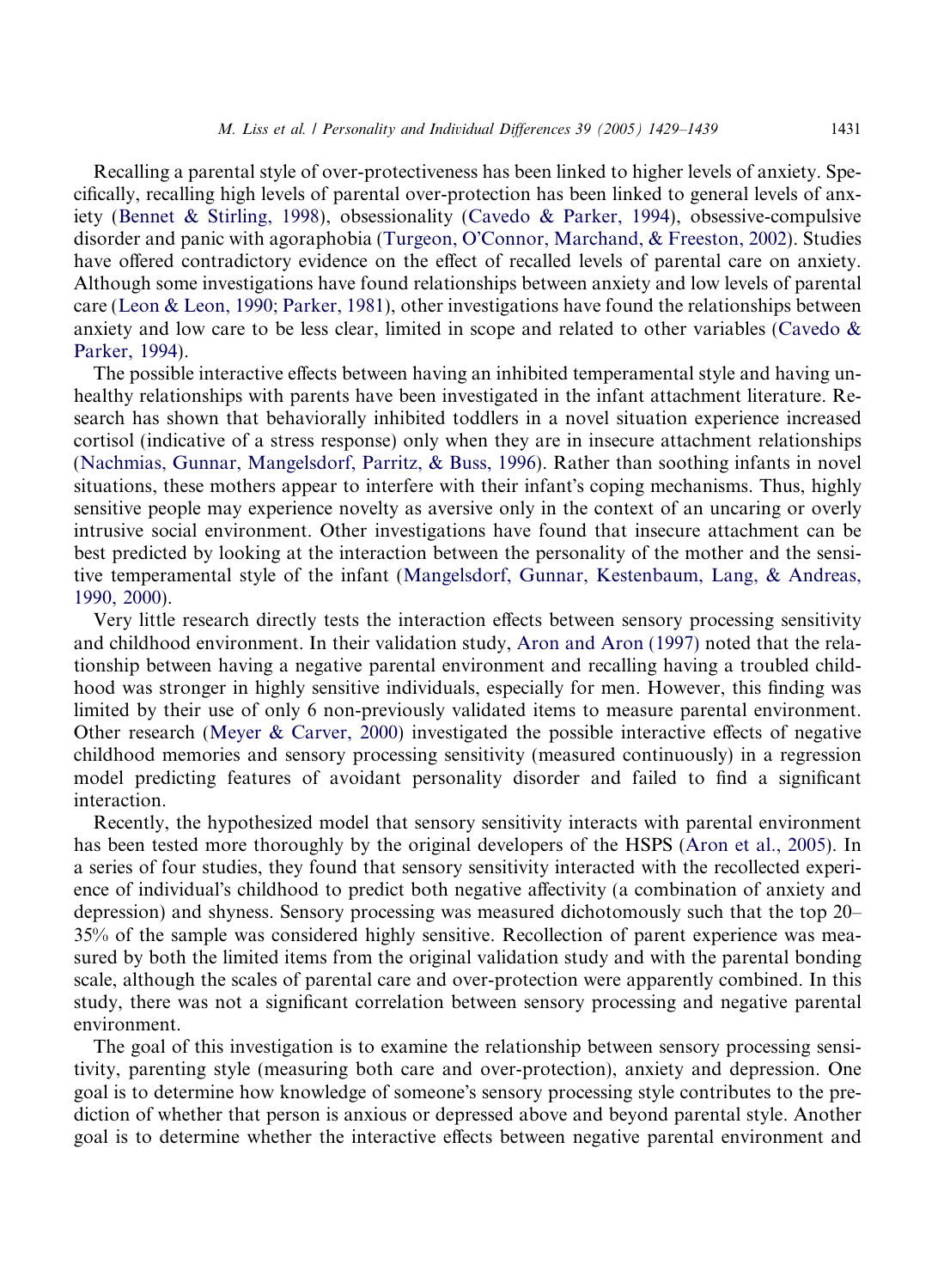Recalling a parental style of over-protectiveness has been linked to higher levels of anxiety. Specifically, recalling high levels of parental over-protection has been linked to general levels of anxiety [\(Bennet & Stirling, 1998](#page-10-0)), obsessionality [\(Cavedo & Parker, 1994](#page-10-0)), obsessive-compulsive disorder and panic with agoraphobia (Turgeon, O'[Connor, Marchand, & Freeston, 2002\)](#page-10-0). Studies have offered contradictory evidence on the effect of recalled levels of parental care on anxiety. Although some investigations have found relationships between anxiety and low levels of parental care ([Leon & Leon, 1990; Parker, 1981\)](#page-10-0), other investigations have found the relationships between anxiety and low care to be less clear, limited in scope and related to other variables ([Cavedo &](#page-10-0) [Parker, 1994](#page-10-0)).

The possible interactive effects between having an inhibited temperamental style and having unhealthy relationships with parents have been investigated in the infant attachment literature. Research has shown that behaviorally inhibited toddlers in a novel situation experience increased cortisol (indicative of a stress response) only when they are in insecure attachment relationships [\(Nachmias, Gunnar, Mangelsdorf, Parritz, & Buss, 1996](#page-10-0)). Rather than soothing infants in novel situations, these mothers appear to interfere with their infant's coping mechanisms. Thus, highly sensitive people may experience novelty as aversive only in the context of an uncaring or overly intrusive social environment. Other investigations have found that insecure attachment can be best predicted by looking at the interaction between the personality of the mother and the sensitive temperamental style of the infant [\(Mangelsdorf, Gunnar, Kestenbaum, Lang, & Andreas,](#page-10-0) [1990, 2000\)](#page-10-0).

Very little research directly tests the interaction effects between sensory processing sensitivity and childhood environment. In their validation study, [Aron and Aron \(1997\)](#page-9-0) noted that the relationship between having a negative parental environment and recalling having a troubled childhood was stronger in highly sensitive individuals, especially for men. However, this finding was limited by their use of only 6 non-previously validated items to measure parental environment. Other research ([Meyer & Carver, 2000](#page-10-0)) investigated the possible interactive effects of negative childhood memories and sensory processing sensitivity (measured continuously) in a regression model predicting features of avoidant personality disorder and failed to find a significant interaction.

Recently, the hypothesized model that sensory sensitivity interacts with parental environment has been tested more thoroughly by the original developers of the HSPS [\(Aron et al., 2005](#page-9-0)). In a series of four studies, they found that sensory sensitivity interacted with the recollected experience of individual's childhood to predict both negative affectivity (a combination of anxiety and depression) and shyness. Sensory processing was measured dichotomously such that the top 20– 35% of the sample was considered highly sensitive. Recollection of parent experience was measured by both the limited items from the original validation study and with the parental bonding scale, although the scales of parental care and over-protection were apparently combined. In this study, there was not a significant correlation between sensory processing and negative parental environment.

The goal of this investigation is to examine the relationship between sensory processing sensitivity, parenting style (measuring both care and over-protection), anxiety and depression. One goal is to determine how knowledge of someone's sensory processing style contributes to the prediction of whether that person is anxious or depressed above and beyond parental style. Another goal is to determine whether the interactive effects between negative parental environment and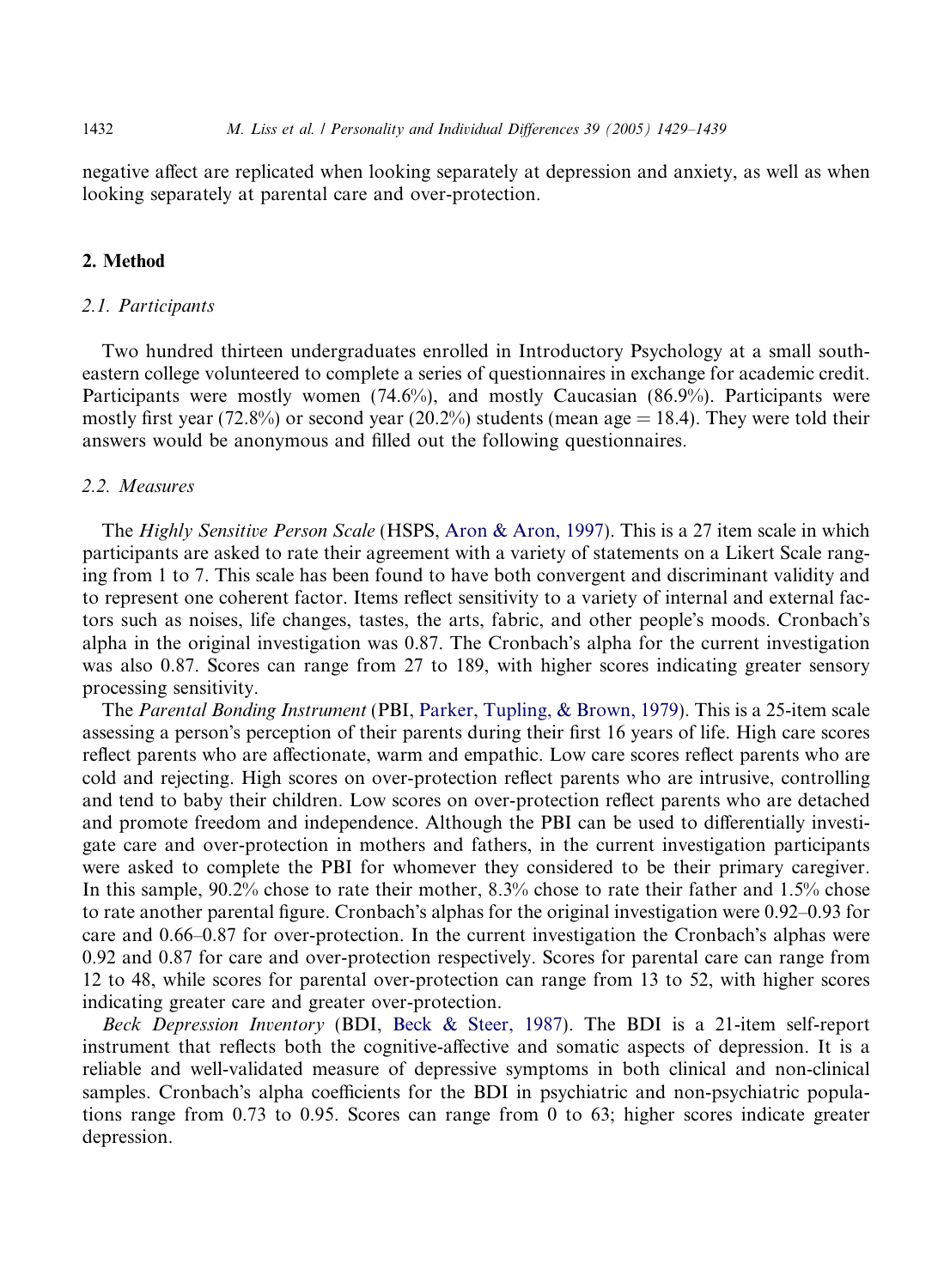negative affect are replicated when looking separately at depression and anxiety, as well as when looking separately at parental care and over-protection.

## 2. Method

## 2.1. Participants

Two hundred thirteen undergraduates enrolled in Introductory Psychology at a small southeastern college volunteered to complete a series of questionnaires in exchange for academic credit. Participants were mostly women (74.6%), and mostly Caucasian (86.9%). Participants were mostly first year (72.8%) or second year (20.2%) students (mean age  $= 18.4$ ). They were told their answers would be anonymous and filled out the following questionnaires.

## 2.2. Measures

The Highly Sensitive Person Scale (HSPS, [Aron & Aron, 1997](#page-9-0)). This is a 27 item scale in which participants are asked to rate their agreement with a variety of statements on a Likert Scale ranging from 1 to 7. This scale has been found to have both convergent and discriminant validity and to represent one coherent factor. Items reflect sensitivity to a variety of internal and external factors such as noises, life changes, tastes, the arts, fabric, and other people's moods. Cronbach's alpha in the original investigation was  $0.87$ . The Cronbach's alpha for the current investigation was also 0.87. Scores can range from 27 to 189, with higher scores indicating greater sensory processing sensitivity.

The Parental Bonding Instrument (PBI, [Parker, Tupling, & Brown, 1979](#page-10-0)). This is a 25-item scale assessing a person's perception of their parents during their first 16 years of life. High care scores reflect parents who are affectionate, warm and empathic. Low care scores reflect parents who are cold and rejecting. High scores on over-protection reflect parents who are intrusive, controlling and tend to baby their children. Low scores on over-protection reflect parents who are detached and promote freedom and independence. Although the PBI can be used to differentially investigate care and over-protection in mothers and fathers, in the current investigation participants were asked to complete the PBI for whomever they considered to be their primary caregiver. In this sample, 90.2% chose to rate their mother, 8.3% chose to rate their father and 1.5% chose to rate another parental figure. Cronbach's alphas for the original investigation were 0.92–0.93 for care and  $0.66-0.87$  for over-protection. In the current investigation the Cronbach's alphas were 0.92 and 0.87 for care and over-protection respectively. Scores for parental care can range from 12 to 48, while scores for parental over-protection can range from 13 to 52, with higher scores indicating greater care and greater over-protection.

Beck Depression Inventory (BDI, [Beck & Steer, 1987](#page-9-0)). The BDI is a 21-item self-report instrument that reflects both the cognitive-affective and somatic aspects of depression. It is a reliable and well-validated measure of depressive symptoms in both clinical and non-clinical samples. Cronbach's alpha coefficients for the BDI in psychiatric and non-psychiatric populations range from 0.73 to 0.95. Scores can range from 0 to 63; higher scores indicate greater depression.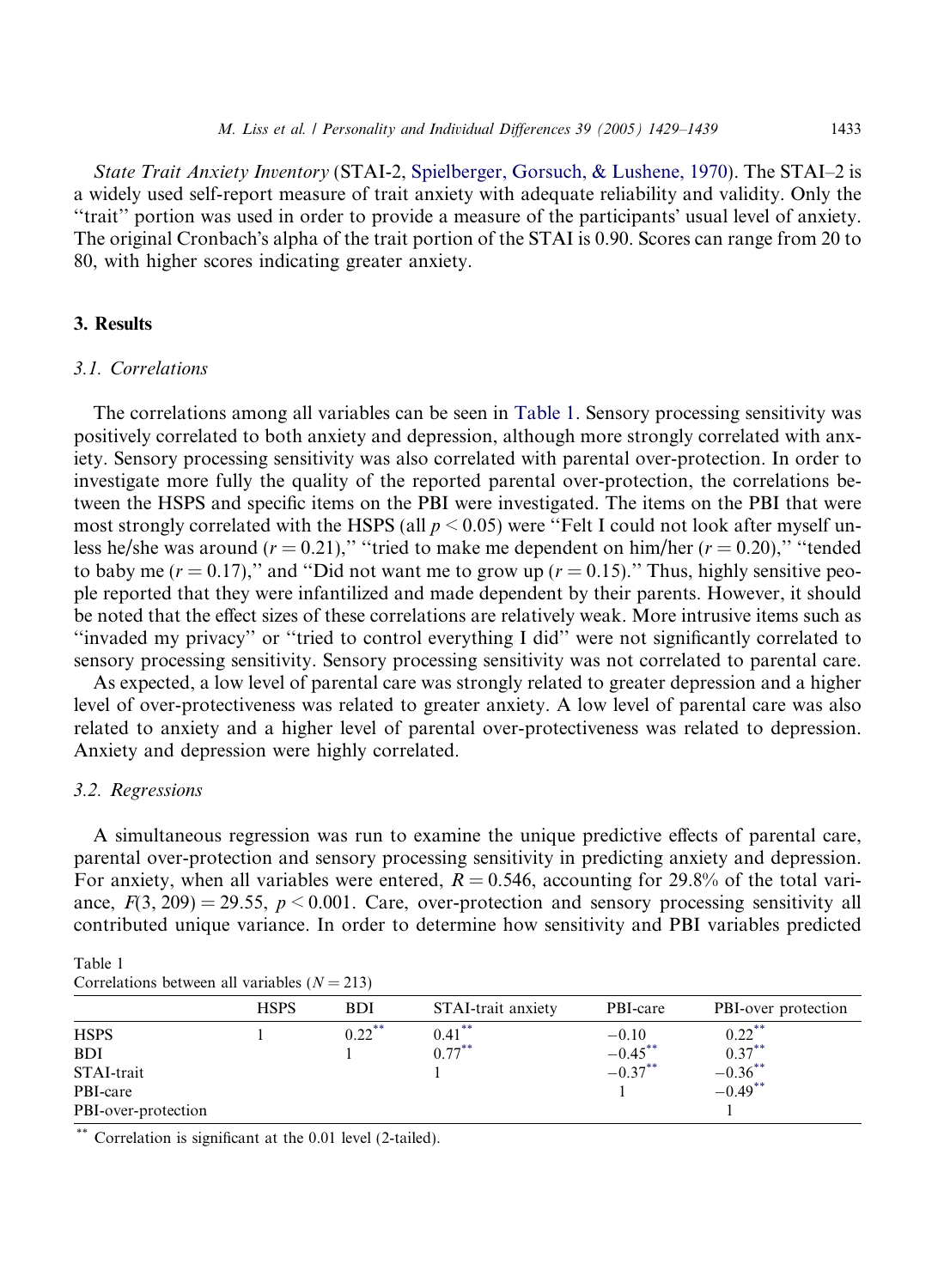State Trait Anxiety Inventory (STAI-2, [Spielberger, Gorsuch, & Lushene, 1970\)](#page-10-0). The STAI–2 is a widely used self-report measure of trait anxiety with adequate reliability and validity. Only the ''trait'' portion was used in order to provide a measure of the participants usual level of anxiety. The original Cronbach's alpha of the trait portion of the STAI is 0.90. Scores can range from 20 to 80, with higher scores indicating greater anxiety.

# 3. Results

#### 3.1. Correlations

The correlations among all variables can be seen in Table 1. Sensory processing sensitivity was positively correlated to both anxiety and depression, although more strongly correlated with anxiety. Sensory processing sensitivity was also correlated with parental over-protection. In order to investigate more fully the quality of the reported parental over-protection, the correlations between the HSPS and specific items on the PBI were investigated. The items on the PBI that were most strongly correlated with the HSPS (all  $p < 0.05$ ) were "Felt I could not look after myself unless he/she was around ( $r = 0.21$ )," "tried to make me dependent on him/her ( $r = 0.20$ )," "tended to baby me ( $r = 0.17$ )," and "Did not want me to grow up ( $r = 0.15$ )." Thus, highly sensitive people reported that they were infantilized and made dependent by their parents. However, it should be noted that the effect sizes of these correlations are relatively weak. More intrusive items such as ''invaded my privacy'' or ''tried to control everything I did'' were not significantly correlated to sensory processing sensitivity. Sensory processing sensitivity was not correlated to parental care.

As expected, a low level of parental care was strongly related to greater depression and a higher level of over-protectiveness was related to greater anxiety. A low level of parental care was also related to anxiety and a higher level of parental over-protectiveness was related to depression. Anxiety and depression were highly correlated.

## 3.2. Regressions

A simultaneous regression was run to examine the unique predictive effects of parental care, parental over-protection and sensory processing sensitivity in predicting anxiety and depression. For anxiety, when all variables were entered,  $R = 0.546$ , accounting for 29.8% of the total variance,  $F(3, 209) = 29.55$ ,  $p < 0.001$ . Care, over-protection and sensory processing sensitivity all contributed unique variance. In order to determine how sensitivity and PBI variables predicted

| Table 1                                        |  |  |
|------------------------------------------------|--|--|
| Correlations between all variables $(N = 213)$ |  |  |

|                     | <b>HSPS</b> | <b>BDI</b> | STAI-trait anxiety | PBI-care   | PBI-over protection          |
|---------------------|-------------|------------|--------------------|------------|------------------------------|
| <b>HSPS</b>         |             | $0.22***$  | $0.41***$          | $-0.10$    | $0.22***$                    |
| <b>BDI</b>          |             |            | $0.77***$          | $-0.45***$ | $0.37***$                    |
| STAI-trait          |             |            |                    | $-0.37***$ | $-0.36^{**}$<br>$-0.49^{**}$ |
| PBI-care            |             |            |                    |            |                              |
| PBI-over-protection |             |            |                    |            |                              |
|                     |             |            |                    |            |                              |

Correlation is significant at the 0.01 level (2-tailed).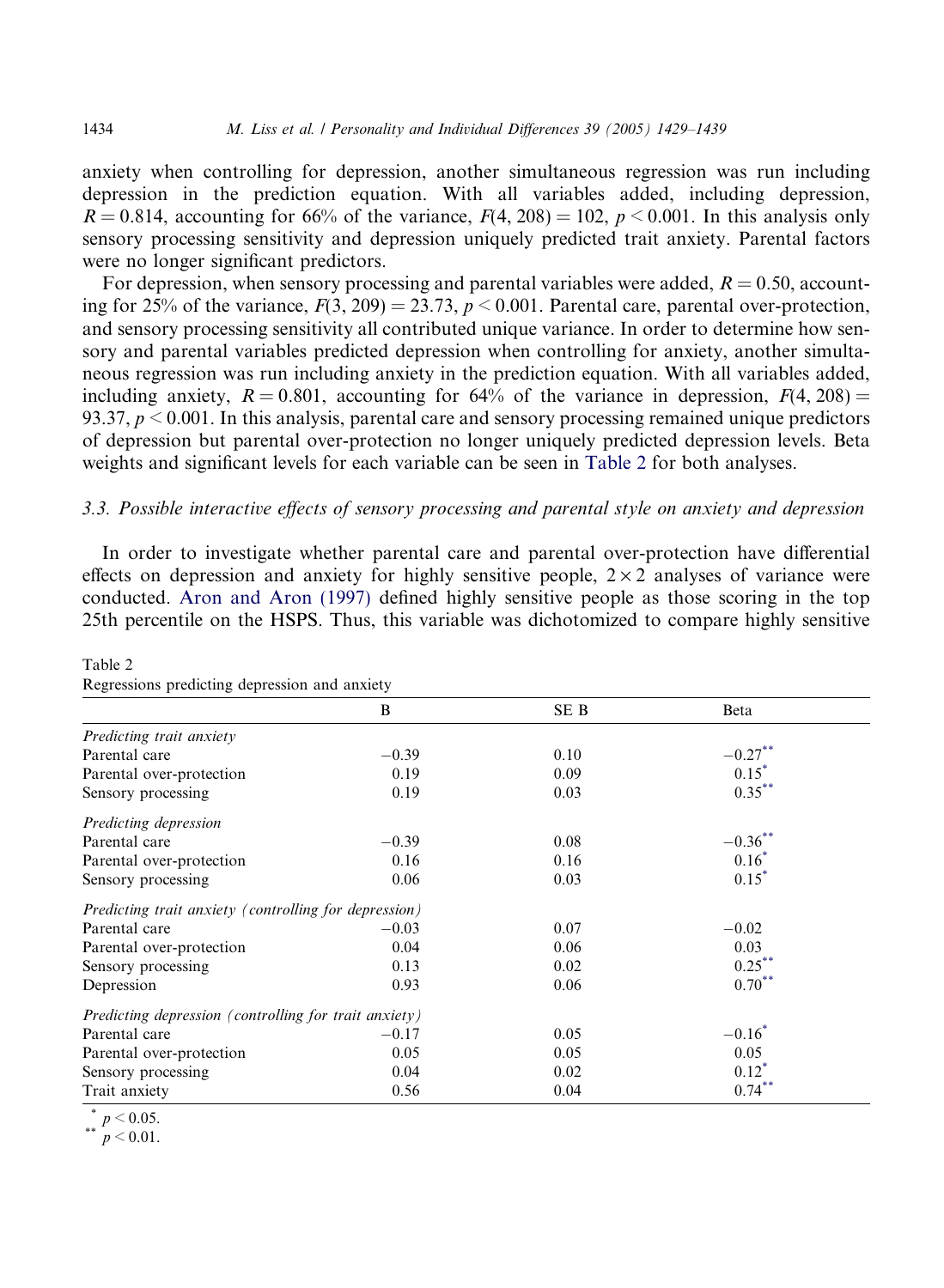anxiety when controlling for depression, another simultaneous regression was run including depression in the prediction equation. With all variables added, including depression,  $R = 0.814$ , accounting for 66% of the variance,  $F(4, 208) = 102$ ,  $p < 0.001$ . In this analysis only sensory processing sensitivity and depression uniquely predicted trait anxiety. Parental factors were no longer significant predictors.

For depression, when sensory processing and parental variables were added,  $R = 0.50$ , accounting for 25% of the variance,  $F(3, 209) = 23.73$ ,  $p \le 0.001$ . Parental care, parental over-protection, and sensory processing sensitivity all contributed unique variance. In order to determine how sensory and parental variables predicted depression when controlling for anxiety, another simultaneous regression was run including anxiety in the prediction equation. With all variables added, including anxiety,  $R = 0.801$ , accounting for 64% of the variance in depression,  $F(4, 208) =$ 93.37,  $p \le 0.001$ . In this analysis, parental care and sensory processing remained unique predictors of depression but parental over-protection no longer uniquely predicted depression levels. Beta weights and significant levels for each variable can be seen in Table 2 for both analyses.

# 3.3. Possible interactive effects of sensory processing and parental style on anxiety and depression

In order to investigate whether parental care and parental over-protection have differential effects on depression and anxiety for highly sensitive people,  $2 \times 2$  analyses of variance were conducted. [Aron and Aron \(1997\)](#page-9-0) defined highly sensitive people as those scoring in the top 25th percentile on the HSPS. Thus, this variable was dichotomized to compare highly sensitive

| Regressions predicting depression and anxiety         |         |      |              |  |  |
|-------------------------------------------------------|---------|------|--------------|--|--|
|                                                       | B       | SE B | <b>B</b> eta |  |  |
| Predicting trait anxiety                              |         |      |              |  |  |
| Parental care                                         | $-0.39$ | 0.10 | $-0.27***$   |  |  |
| Parental over-protection                              | 0.19    | 0.09 | $0.15*$      |  |  |
| Sensory processing                                    | 0.19    | 0.03 | $0.35***$    |  |  |
| Predicting depression                                 |         |      |              |  |  |
| Parental care                                         | $-0.39$ | 0.08 | $-0.36***$   |  |  |
| Parental over-protection                              | 0.16    | 0.16 | $0.16^*$     |  |  |
| Sensory processing                                    | 0.06    | 0.03 | $0.15^*$     |  |  |
| Predicting trait anxiety (controlling for depression) |         |      |              |  |  |
| Parental care                                         | $-0.03$ | 0.07 | $-0.02$      |  |  |
| Parental over-protection                              | 0.04    | 0.06 | 0.03         |  |  |
| Sensory processing                                    | 0.13    | 0.02 | $0.25***$    |  |  |
| Depression                                            | 0.93    | 0.06 | $0.70***$    |  |  |
| Predicting depression (controlling for trait anxiety) |         |      |              |  |  |
| Parental care                                         | $-0.17$ | 0.05 | $-0.16^*$    |  |  |
| Parental over-protection                              | 0.05    | 0.05 | 0.05         |  |  |
| Sensory processing                                    | 0.04    | 0.02 | $0.12^*$     |  |  |
| Trait anxiety                                         | 0.56    | 0.04 | $0.74***$    |  |  |

Table 2 Regressions predicting depression and anxiety

$$
^{**}p\leq 0.01.
$$

 $* p < 0.05$ .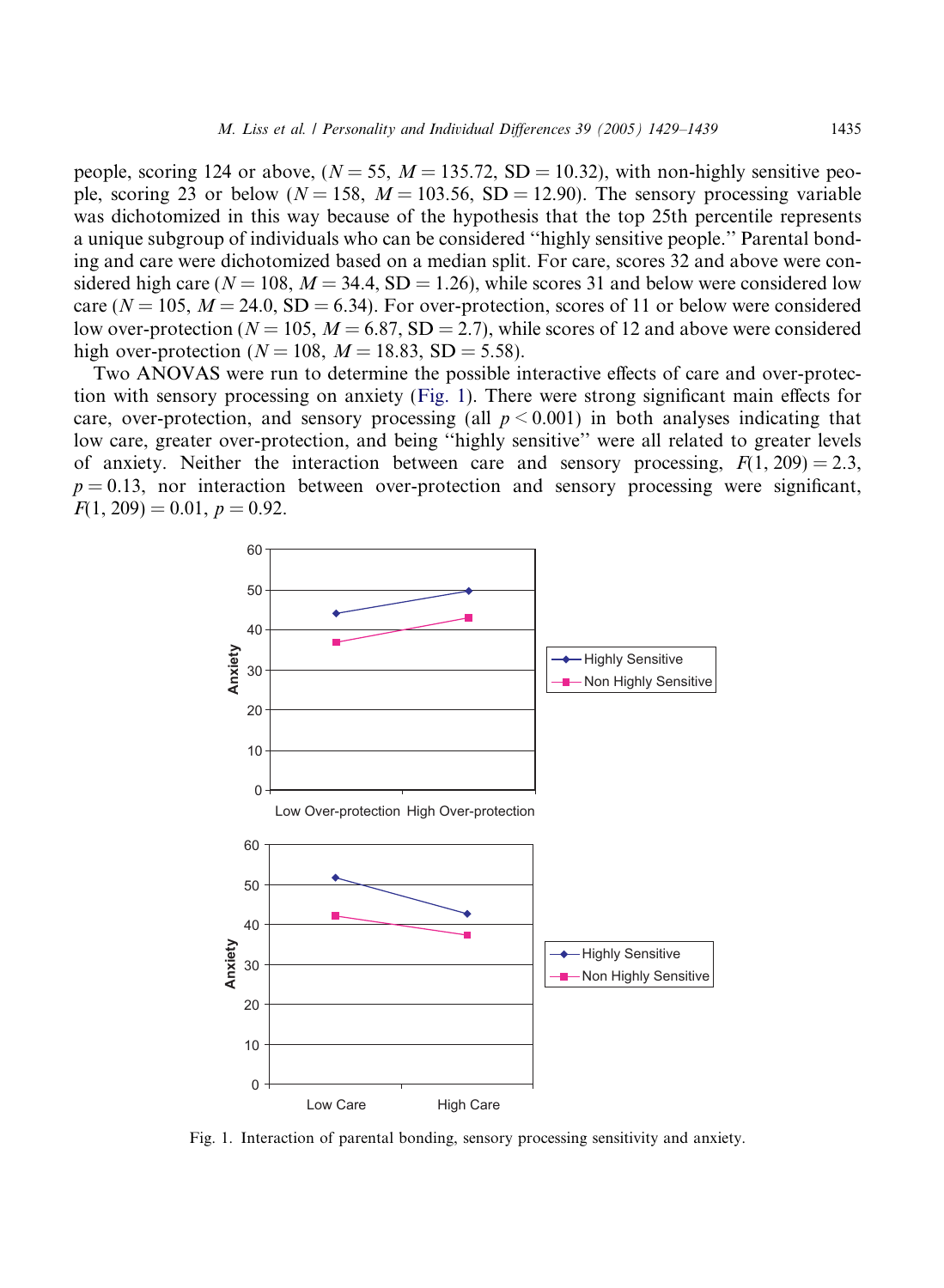people, scoring 124 or above,  $(N = 55, M = 135.72, SD = 10.32)$ , with non-highly sensitive people, scoring 23 or below ( $N = 158$ ,  $M = 103.56$ , SD = 12.90). The sensory processing variable was dichotomized in this way because of the hypothesis that the top 25th percentile represents a unique subgroup of individuals who can be considered ''highly sensitive people.'' Parental bonding and care were dichotomized based on a median split. For care, scores 32 and above were considered high care ( $N = 108$ ,  $M = 34.4$ , SD = 1.26), while scores 31 and below were considered low care ( $N = 105$ ,  $M = 24.0$ , SD = 6.34). For over-protection, scores of 11 or below were considered low over-protection ( $N = 105$ ,  $M = 6.87$ , SD = 2.7), while scores of 12 and above were considered high over-protection ( $N = 108$ ,  $M = 18.83$ , SD = 5.58).

Two ANOVAS were run to determine the possible interactive effects of care and over-protection with sensory processing on anxiety (Fig. 1). There were strong significant main effects for care, over-protection, and sensory processing (all  $p < 0.001$ ) in both analyses indicating that low care, greater over-protection, and being ''highly sensitive'' were all related to greater levels of anxiety. Neither the interaction between care and sensory processing,  $F(1, 209) = 2.3$ ,  $p = 0.13$ , nor interaction between over-protection and sensory processing were significant,  $F(1, 209) = 0.01, p = 0.92.$ 



Fig. 1. Interaction of parental bonding, sensory processing sensitivity and anxiety.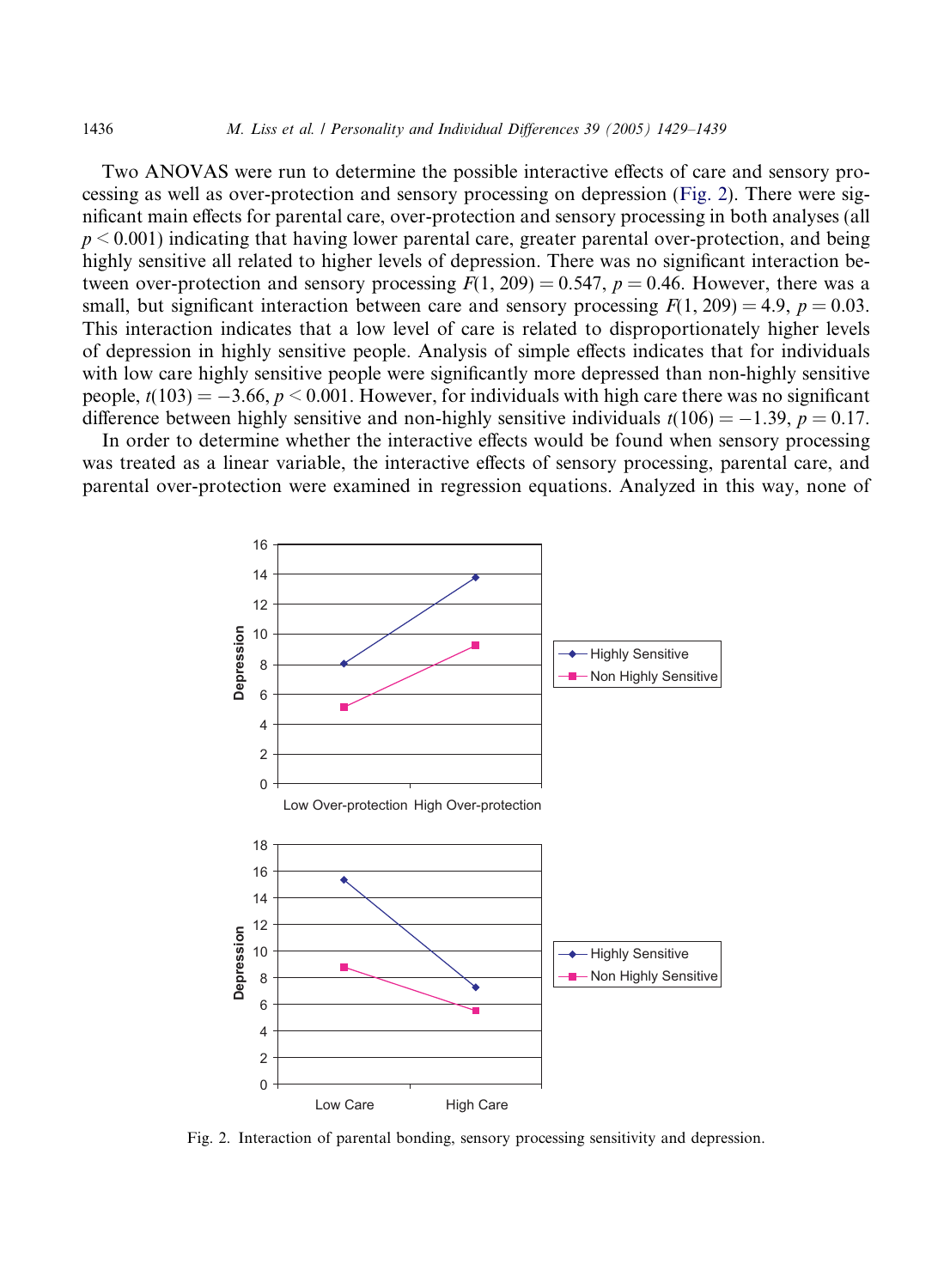Two ANOVAS were run to determine the possible interactive effects of care and sensory processing as well as over-protection and sensory processing on depression (Fig. 2). There were significant main effects for parental care, over-protection and sensory processing in both analyses (all  $p \le 0.001$ ) indicating that having lower parental care, greater parental over-protection, and being highly sensitive all related to higher levels of depression. There was no significant interaction between over-protection and sensory processing  $F(1, 209) = 0.547$ ,  $p = 0.46$ . However, there was a small, but significant interaction between care and sensory processing  $F(1, 209) = 4.9$ ,  $p = 0.03$ . This interaction indicates that a low level of care is related to disproportionately higher levels of depression in highly sensitive people. Analysis of simple effects indicates that for individuals with low care highly sensitive people were significantly more depressed than non-highly sensitive people,  $t(103) = -3.66$ ,  $p < 0.001$ . However, for individuals with high care there was no significant difference between highly sensitive and non-highly sensitive individuals  $t(106) = -1.39$ ,  $p = 0.17$ .

In order to determine whether the interactive effects would be found when sensory processing was treated as a linear variable, the interactive effects of sensory processing, parental care, and parental over-protection were examined in regression equations. Analyzed in this way, none of



Fig. 2. Interaction of parental bonding, sensory processing sensitivity and depression.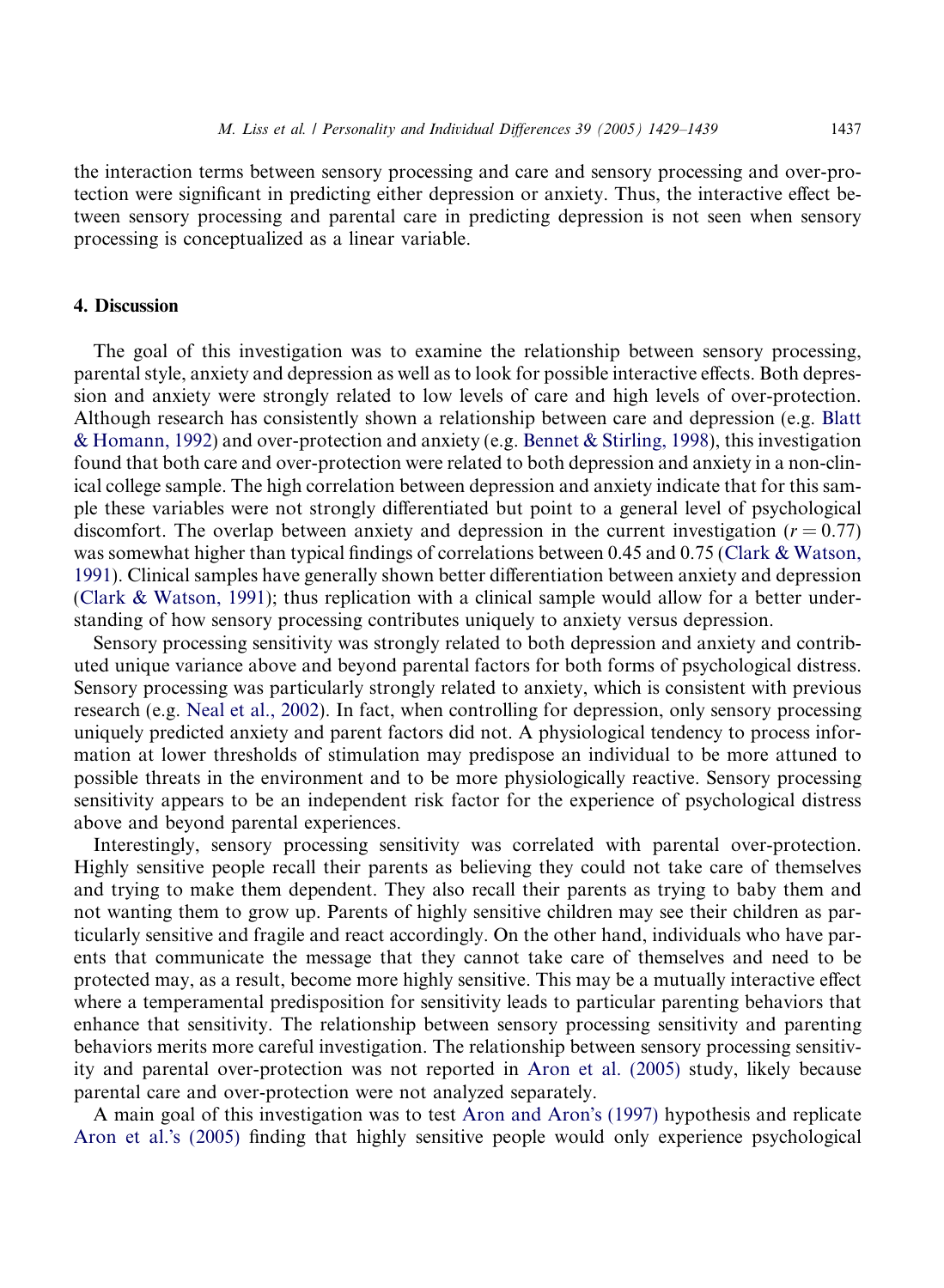the interaction terms between sensory processing and care and sensory processing and over-protection were significant in predicting either depression or anxiety. Thus, the interactive effect between sensory processing and parental care in predicting depression is not seen when sensory processing is conceptualized as a linear variable.

## 4. Discussion

The goal of this investigation was to examine the relationship between sensory processing, parental style, anxiety and depression as well as to look for possible interactive effects. Both depression and anxiety were strongly related to low levels of care and high levels of over-protection. Although research has consistently shown a relationship between care and depression (e.g. [Blatt](#page-10-0) [& Homann, 1992](#page-10-0)) and over-protection and anxiety (e.g. [Bennet & Stirling, 1998\)](#page-10-0), this investigation found that both care and over-protection were related to both depression and anxiety in a non-clinical college sample. The high correlation between depression and anxiety indicate that for this sample these variables were not strongly differentiated but point to a general level of psychological discomfort. The overlap between anxiety and depression in the current investigation ( $r = 0.77$ ) was somewhat higher than typical findings of correlations between 0.45 and 0.75 ([Clark & Watson,](#page-10-0) [1991](#page-10-0)). Clinical samples have generally shown better differentiation between anxiety and depression [\(Clark & Watson, 1991](#page-10-0)); thus replication with a clinical sample would allow for a better understanding of how sensory processing contributes uniquely to anxiety versus depression.

Sensory processing sensitivity was strongly related to both depression and anxiety and contributed unique variance above and beyond parental factors for both forms of psychological distress. Sensory processing was particularly strongly related to anxiety, which is consistent with previous research (e.g. [Neal et al., 2002\)](#page-10-0). In fact, when controlling for depression, only sensory processing uniquely predicted anxiety and parent factors did not. A physiological tendency to process information at lower thresholds of stimulation may predispose an individual to be more attuned to possible threats in the environment and to be more physiologically reactive. Sensory processing sensitivity appears to be an independent risk factor for the experience of psychological distress above and beyond parental experiences.

Interestingly, sensory processing sensitivity was correlated with parental over-protection. Highly sensitive people recall their parents as believing they could not take care of themselves and trying to make them dependent. They also recall their parents as trying to baby them and not wanting them to grow up. Parents of highly sensitive children may see their children as particularly sensitive and fragile and react accordingly. On the other hand, individuals who have parents that communicate the message that they cannot take care of themselves and need to be protected may, as a result, become more highly sensitive. This may be a mutually interactive effect where a temperamental predisposition for sensitivity leads to particular parenting behaviors that enhance that sensitivity. The relationship between sensory processing sensitivity and parenting behaviors merits more careful investigation. The relationship between sensory processing sensitivity and parental over-protection was not reported in [Aron et al. \(2005\)](#page-9-0) study, likely because parental care and over-protection were not analyzed separately.

A main goal of this investigation was to test [Aron and Aron](#page-9-0)'s (1997) hypothesis and replicate [Aron et al.](#page-9-0)'s (2005) finding that highly sensitive people would only experience psychological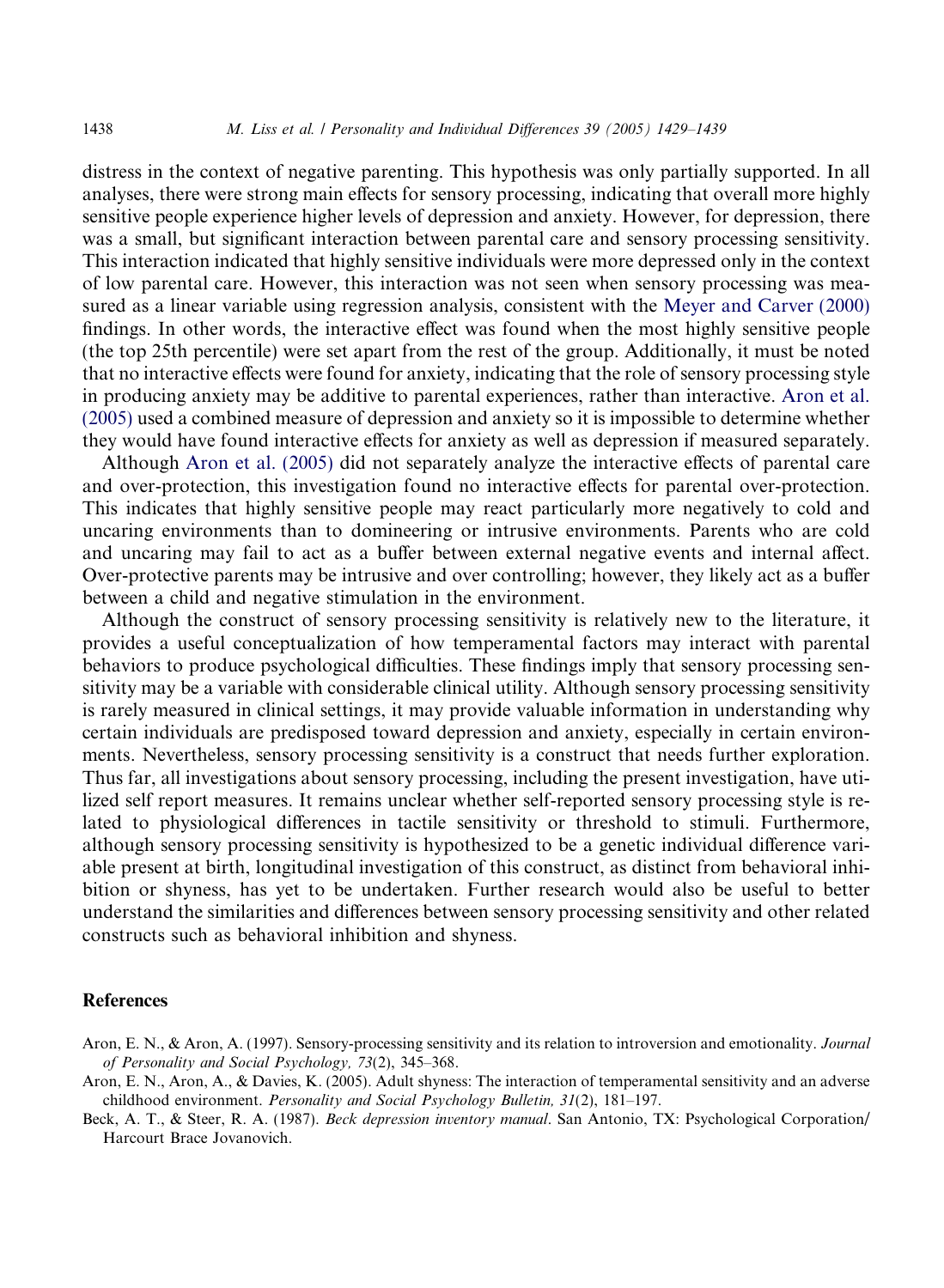<span id="page-9-0"></span>distress in the context of negative parenting. This hypothesis was only partially supported. In all analyses, there were strong main effects for sensory processing, indicating that overall more highly sensitive people experience higher levels of depression and anxiety. However, for depression, there was a small, but significant interaction between parental care and sensory processing sensitivity. This interaction indicated that highly sensitive individuals were more depressed only in the context of low parental care. However, this interaction was not seen when sensory processing was measured as a linear variable using regression analysis, consistent with the [Meyer and Carver \(2000\)](#page-10-0) findings. In other words, the interactive effect was found when the most highly sensitive people (the top 25th percentile) were set apart from the rest of the group. Additionally, it must be noted that no interactive effects were found for anxiety, indicating that the role of sensory processing style in producing anxiety may be additive to parental experiences, rather than interactive. Aron et al. (2005) used a combined measure of depression and anxiety so it is impossible to determine whether they would have found interactive effects for anxiety as well as depression if measured separately.

Although Aron et al. (2005) did not separately analyze the interactive effects of parental care and over-protection, this investigation found no interactive effects for parental over-protection. This indicates that highly sensitive people may react particularly more negatively to cold and uncaring environments than to domineering or intrusive environments. Parents who are cold and uncaring may fail to act as a buffer between external negative events and internal affect. Over-protective parents may be intrusive and over controlling; however, they likely act as a buffer between a child and negative stimulation in the environment.

Although the construct of sensory processing sensitivity is relatively new to the literature, it provides a useful conceptualization of how temperamental factors may interact with parental behaviors to produce psychological difficulties. These findings imply that sensory processing sensitivity may be a variable with considerable clinical utility. Although sensory processing sensitivity is rarely measured in clinical settings, it may provide valuable information in understanding why certain individuals are predisposed toward depression and anxiety, especially in certain environments. Nevertheless, sensory processing sensitivity is a construct that needs further exploration. Thus far, all investigations about sensory processing, including the present investigation, have utilized self report measures. It remains unclear whether self-reported sensory processing style is related to physiological differences in tactile sensitivity or threshold to stimuli. Furthermore, although sensory processing sensitivity is hypothesized to be a genetic individual difference variable present at birth, longitudinal investigation of this construct, as distinct from behavioral inhibition or shyness, has yet to be undertaken. Further research would also be useful to better understand the similarities and differences between sensory processing sensitivity and other related constructs such as behavioral inhibition and shyness.

## **References**

- Aron, E. N., & Aron, A. (1997). Sensory-processing sensitivity and its relation to introversion and emotionality. Journal of Personality and Social Psychology, 73(2), 345–368.
- Aron, E. N., Aron, A., & Davies, K. (2005). Adult shyness: The interaction of temperamental sensitivity and an adverse childhood environment. Personality and Social Psychology Bulletin, 31(2), 181–197.

Beck, A. T., & Steer, R. A. (1987). Beck depression inventory manual. San Antonio, TX: Psychological Corporation/ Harcourt Brace Jovanovich.